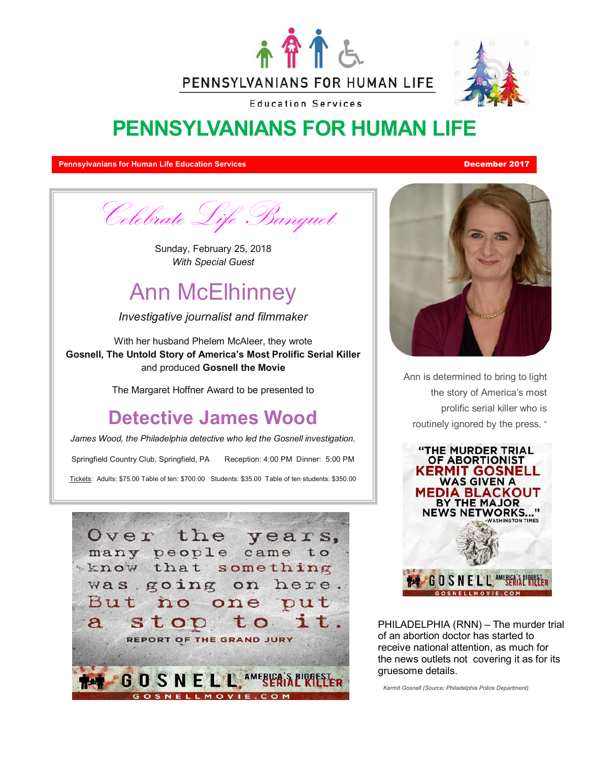

**Education Services** 

# **PENNSYLVANIANS FOR HUMAN LIFE**

**Pennsylvanians for Human Life Education Services** December 2017

Celebrate Life Banquet

Sunday, February 25, 2018 *With Special Guest*

# Ann McElhinney

*Investigative journalist and filmmaker*

With her husband Phelem McAleer, they wrote **Gosnell, The Untold Story of America's Most Prolific Serial Killer**  and produced **Gosnell the Movie**

The Margaret Hoffner Award to be presented to

# **Detective James Wood**

*James Wood, the Philadelphia detective who led the Gosnell investigation.*

Springfield Country Club, Springfield, PA Reception: 4:00 PM Dinner: 5:00 PM

Tickets: Adults: \$75.00 Table of ten: \$700.00 Students: \$35.00 Table of ten students: \$350.00





Ann is determined to bring to light the story of America's most prolific serial killer who is routinely ignored by the press. "



PHILADELPHIA (RNN) – The murder trial of an abortion doctor has started to receive national attention, as much for the news outlets not covering it as for its gruesome details.

*Kermit Gosnell (Source: Philadelphia Police Department)*

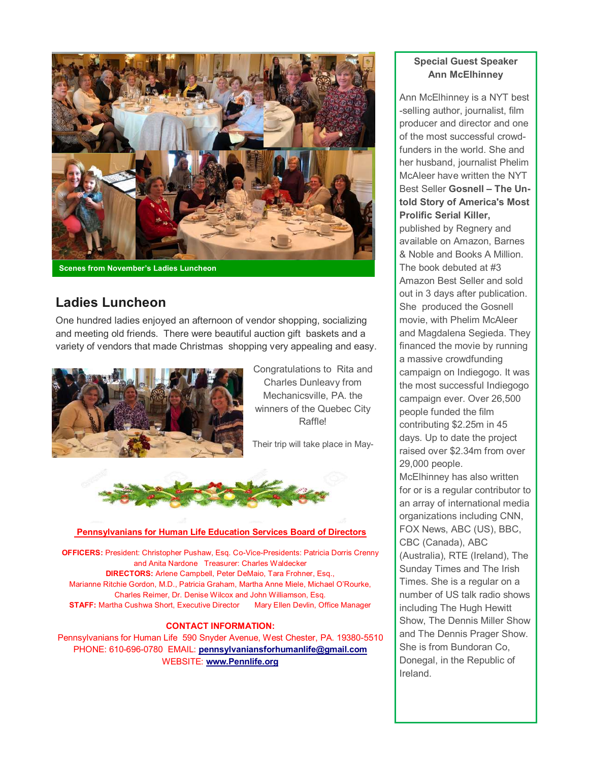

**Scenes from November's Ladies Luncheon**

## **Ladies Luncheon**

One hundred ladies enjoyed an afternoon of vendor shopping, socializing and meeting old friends. There were beautiful auction gift baskets and a variety of vendors that made Christmas shopping very appealing and easy.



Congratulations to Rita and Charles Dunleavy from Mechanicsville, PA. the winners of the Quebec City Raffle!

Their trip will take place in May-



**Pennsylvanians for Human Life Education Services Board of Directors**

**OFFICERS:** President: Christopher Pushaw, Esq. Co-Vice-Presidents: Patricia Dorris Crenny and Anita Nardone Treasurer: Charles Waldecker **DIRECTORS:** Arlene Campbell, Peter DeMaio, Tara Frohner, Esq., Marianne Ritchie Gordon, M.D., Patricia Graham, Martha Anne Miele, Michael O'Rourke, Charles Reimer, Dr. Denise Wilcox and John Williamson, Esq. **STAFF:** Martha Cushwa Short, Executive Director Mary Ellen Devlin, Office Manager

#### **CONTACT INFORMATION:**

Pennsylvanians for Human Life 590 Snyder Avenue, West Chester, PA. 19380-5510 PHONE: 610-696-0780 EMAIL: **pennsylvaniansforhumanlife@gmail.com**  WEBSITE: **www.Pennlife.org**

### **Special Guest Speaker Ann McElhinney**

Ann McElhinney is a NYT best -selling author, journalist, film producer and director and one of the most successful crowdfunders in the world. She and her husband, journalist Phelim McAleer have written the NYT Best Seller **Gosnell – The Untold Story of America's Most Prolific Serial Killer,**  published by Regnery and available on Amazon, Barnes & Noble and Books A Million. The book debuted at #3 Amazon Best Seller and sold out in 3 days after publication. She produced the Gosnell movie, with Phelim McAleer and Magdalena Segieda. They financed the movie by running a massive crowdfunding campaign on Indiegogo. It was the most successful Indiegogo campaign ever. Over 26,500 people funded the film contributing \$2.25m in 45 days. Up to date the project raised over \$2.34m from over 29,000 people. McElhinney has also written

for or is a regular contributor to an array of international media organizations including CNN, FOX News, ABC (US), BBC, CBC (Canada), ABC (Australia), RTE (Ireland), The Sunday Times and The Irish Times. She is a regular on a number of US talk radio shows including The Hugh Hewitt Show, The Dennis Miller Show and The Dennis Prager Show. She is from Bundoran Co, Donegal, in the Republic of Ireland.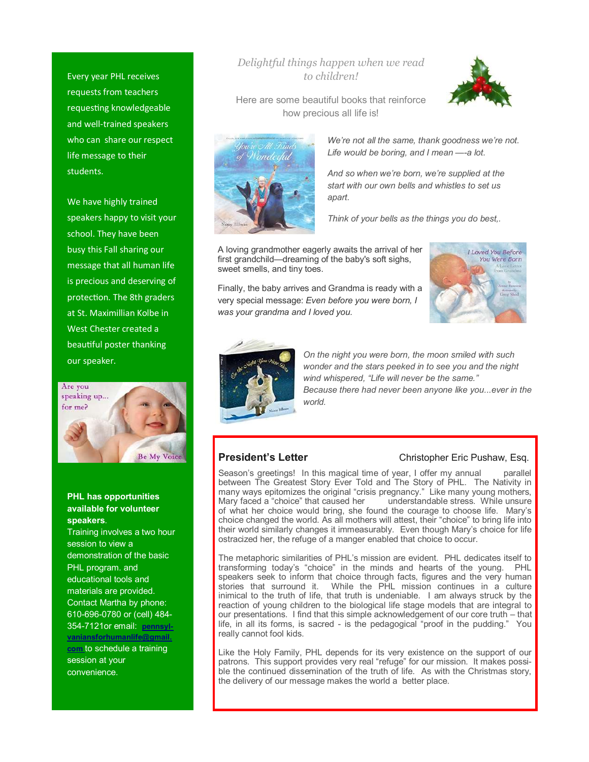Every year PHL receives requests from teachers requesting knowledgeable and well-trained speakers who can share our respect life message to their students.

We have highly trained speakers happy to visit your school. They have been busy this Fall sharing our message that all human life is precious and deserving of protection. The 8th graders at St. Maximillian Kolbe in West Chester created a beautiful poster thanking our speaker.



#### **PHL has opportunities available for volunteer speakers**.

Training involves a two hour session to view a demonstration of the basic PHL program. and educational tools and materials are provided. Contact Martha by phone: 610-696-0780 or (cell) 484- 354-7121or email: **pennsylvaniansforhumanlife@gmail.** 

**com** to schedule a training session at your convenience.

### *Delightful things happen when we read to children!*



Here are some beautiful books that reinforce how precious all life is!



*We're not all the same, thank goodness we're not. Life would be boring, and I mean —-a lot.*

*And so when we're born, we're supplied at the start with our own bells and whistles to set us apart.*

*Think of your bells as the things you do best,.* 

A loving grandmother eagerly awaits the arrival of her first grandchild—dreaming of the baby's soft sighs, sweet smells, and tiny toes.

Finally, the baby arrives and Grandma is ready with a very special message: *Even before you were born, I was your grandma and I loved you.*





*On the night you were born, the moon smiled with such wonder and the stars peeked in to see you and the night wind whispered, "Life will never be the same." Because there had never been anyone like you...ever in the* 

*world.*

#### **President's Letter Christopher Eric Pushaw, Esq.**

Season's greetings! In this magical time of year, I offer my annual parallel between The Greatest Story Ever Told and The Story of PHL. The Nativity in many ways epitomizes the original "crisis pregnancy." Like many young mothers, Mary faced a "choice" that caused her understandable stress. While unsure of what her choice would bring, she found the courage to choose life. Mary's choice changed the world. As all mothers will attest, their "choice" to bring life into their world similarly changes it immeasurably. Even though Mary's choice for life ostracized her, the refuge of a manger enabled that choice to occur.

The metaphoric similarities of PHL's mission are evident. PHL dedicates itself to transforming today's "choice" in the minds and hearts of the young. PHL speakers seek to inform that choice through facts, figures and the very human stories that surround it. While the PHL mission continues in a culture inimical to the truth of life, that truth is undeniable. I am always struck by the reaction of young children to the biological life stage models that are integral to our presentations. I find that this simple acknowledgement of our core truth - that life, in all its forms, is sacred - is the pedagogical "proof in the pudding." You really cannot fool kids.

Like the Holy Family, PHL depends for its very existence on the support of our patrons. This support provides very real "refuge" for our mission. It makes possible the continued dissemination of the truth of life. As with the Christmas story, the delivery of our message makes the world a better place.